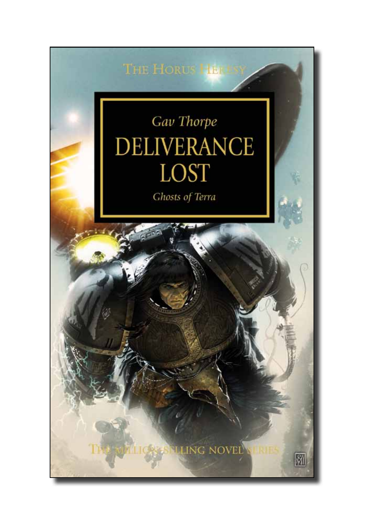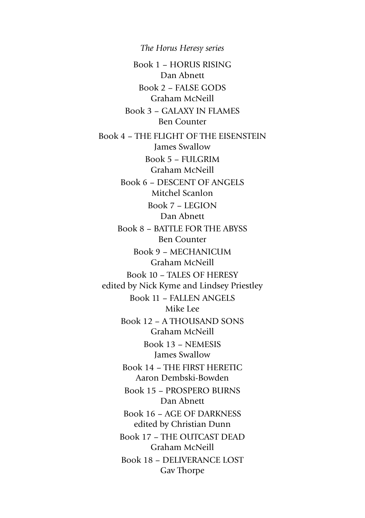*The Horus Heresy series* Book 1 – HORUS RISING Dan Abnett Book 2 – FALSE GODS Graham McNeill Book 3 – GALAXY IN FLAMES Ben Counter Book 4 – THE FLIGHT OF THE EISENSTEIN James Swallow Book 5 – FULGRIM Graham McNeill Book 6 – Descent of Angels Mitchel Scanlon Book 7 – LEGION Dan Abnett Book 8 – battle for the abyss Ben Counter Book 9 – mechanicum Graham McNeill Book 10 – Tales of Heresy edited by Nick Kyme and Lindsey Priestley Book 11 – fallen angels Mike Lee Book 12 – A thousand sons Graham McNeill Book 13 – Nemesis James Swallow Book 14 – the first heretic Aaron Dembski-Bowden Book 15 – prospero burns Dan Abnett Book 16 – AGE OF DARKNESS edited by Christian Dunn Book 17 – THE OUTCAST DEAD Graham McNeill Book 18 – DELIVERANCE LOST Gav Thorpe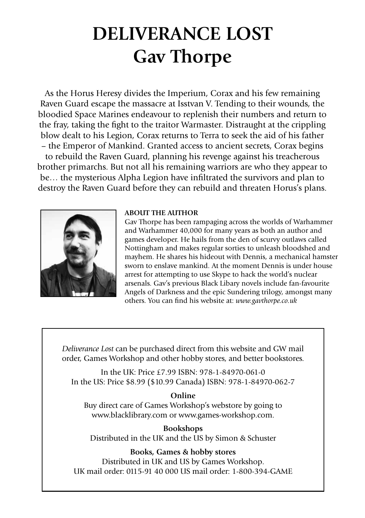## **DELIVERANCE LOST Gav Thorpe**

As the Horus Heresy divides the Imperium, Corax and his few remaining Raven Guard escape the massacre at Isstvan V. Tending to their wounds, the bloodied Space Marines endeavour to replenish their numbers and return to the fray, taking the fight to the traitor Warmaster. Distraught at the crippling blow dealt to his Legion, Corax returns to Terra to seek the aid of his father – the Emperor of Mankind. Granted access to ancient secrets, Corax begins to rebuild the Raven Guard, planning his revenge against his treacherous brother primarchs. But not all his remaining warriors are who they appear to be… the mysterious Alpha Legion have infiltrated the survivors and plan to destroy the Raven Guard before they can rebuild and threaten Horus's plans.



## **ABOUT THE AUTHOR**

Gav Thorpe has been rampaging across the worlds of Warhammer and Warhammer 40,000 for many years as both an author and games developer. He hails from the den of scurvy outlaws called Nottingham and makes regular sorties to unleash bloodshed and mayhem. He shares his hideout with Dennis, a mechanical hamster sworn to enslave mankind. At the moment Dennis is under house arrest for attempting to use Skype to hack the world's nuclear arsenals. Gav's previous Black Libary novels include fan-favourite Angels of Darkness and the epic Sundering trilogy, amongst many others. You can find his website at: *www.gavthorpe.co.uk*

*Deliverance Lost* can be purchased direct from this website and GW mail order, Games Workshop and other hobby stores, and better bookstores.

In the UK: Price £7.99 ISBN: 978-1-84970-061-0 In the US: Price \$8.99 (\$10.99 Canada) ISBN: 978-1-84970-062-7

## **Online**

Buy direct care of Games Workshop's webstore by going to www.blacklibrary.com or www.games-workshop.com.

**Bookshops** Distributed in the UK and the US by Simon & Schuster

## **Books, Games & hobby stores**

Distributed in UK and US by Games Workshop. UK mail order: 0115-91 40 000 US mail order: 1-800-394-GAME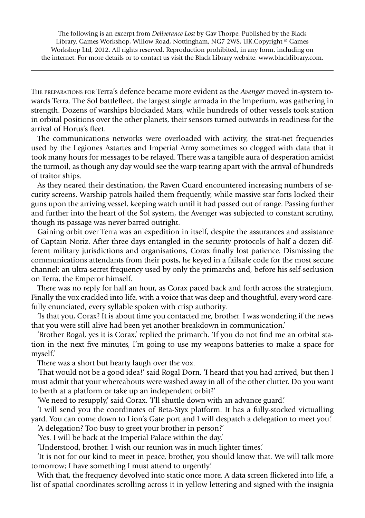The following is an excerpt from *Deliverance Lost* by Gav Thorpe. Published by the Black Library. Games Workshop, Willow Road, Nottingham, NG7 2WS, UK.Copyright © Games Workshop Ltd, 2012. All rights reserved. Reproduction prohibited, in any form, including on the internet. For more details or to contact us visit the Black Library website: www.blacklibrary.com.

The preparations for Terra's defence became more evident as the *Avenger* moved in-system towards Terra. The Sol battlefleet, the largest single armada in the Imperium, was gathering in strength. Dozens of warships blockaded Mars, while hundreds of other vessels took station in orbital positions over the other planets, their sensors turned outwards in readiness for the arrival of Horus's fleet.

The communications networks were overloaded with activity, the strat-net frequencies used by the Legiones Astartes and Imperial Army sometimes so clogged with data that it took many hours for messages to be relayed. There was a tangible aura of desperation amidst the turmoil, as though any day would see the warp tearing apart with the arrival of hundreds of traitor ships.

As they neared their destination, the Raven Guard encountered increasing numbers of security screens. Warship patrols hailed them frequently, while massive star forts locked their guns upon the arriving vessel, keeping watch until it had passed out of range. Passing further and further into the heart of the Sol system, the Avenger was subjected to constant scrutiny, though its passage was never barred outright.

Gaining orbit over Terra was an expedition in itself, despite the assurances and assistance of Captain Noriz. After three days entangled in the security protocols of half a dozen different military jurisdictions and organisations, Corax finally lost patience. Dismissing the communications attendants from their posts, he keyed in a failsafe code for the most secure channel: an ultra-secret frequency used by only the primarchs and, before his self-seclusion on Terra, the Emperor himself.

There was no reply for half an hour, as Corax paced back and forth across the strategium. Finally the vox crackled into life, with a voice that was deep and thoughtful, every word carefully enunciated, every syllable spoken with crisp authority.

'Is that you, Corax? It is about time you contacted me, brother. I was wondering if the news that you were still alive had been yet another breakdown in communication.'

'Brother Rogal, yes it is Corax,' replied the primarch. 'If you do not find me an orbital station in the next five minutes, I'm going to use my weapons batteries to make a space for myself.'

There was a short but hearty laugh over the vox.

'That would not be a good idea!' said Rogal Dorn. 'I heard that you had arrived, but then I must admit that your whereabouts were washed away in all of the other clutter. Do you want to berth at a platform or take up an independent orbit?'

'We need to resupply,' said Corax. 'I'll shuttle down with an advance guard.'

'I will send you the coordinates of Beta-Styx platform. It has a fully-stocked victualling yard. You can come down to Lion's Gate port and I will despatch a delegation to meet you.'

'A delegation? Too busy to greet your brother in person?'

'Yes. I will be back at the Imperial Palace within the day.'

'Understood, brother. I wish our reunion was in much lighter times.'

'It is not for our kind to meet in peace, brother, you should know that. We will talk more tomorrow; I have something I must attend to urgently.'

With that, the frequency devolved into static once more. A data screen flickered into life, a list of spatial coordinates scrolling across it in yellow lettering and signed with the insignia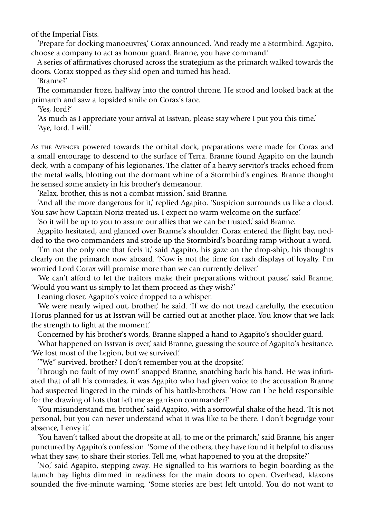of the Imperial Fists.

'Prepare for docking manoeuvres,' Corax announced. 'And ready me a Stormbird. Agapito, choose a company to act as honour guard. Branne, you have command.'

A series of affirmatives chorused across the strategium as the primarch walked towards the doors. Corax stopped as they slid open and turned his head.

'Branne?'

The commander froze, halfway into the control throne. He stood and looked back at the primarch and saw a lopsided smile on Corax's face.

'Yes, lord?'

'As much as I appreciate your arrival at Isstvan, please stay where I put you this time.' 'Aye, lord. I will.'

As the Avenger powered towards the orbital dock, preparations were made for Corax and a small entourage to descend to the surface of Terra. Branne found Agapito on the launch deck, with a company of his legionaries. The clatter of a heavy servitor's tracks echoed from the metal walls, blotting out the dormant whine of a Stormbird's engines. Branne thought he sensed some anxiety in his brother's demeanour.

'Relax, brother, this is not a combat mission,' said Branne.

'And all the more dangerous for it,' replied Agapito. 'Suspicion surrounds us like a cloud. You saw how Captain Noriz treated us. I expect no warm welcome on the surface.'

'So it will be up to you to assure our allies that we can be trusted,' said Branne.

Agapito hesitated, and glanced over Branne's shoulder. Corax entered the flight bay, nodded to the two commanders and strode up the Stormbird's boarding ramp without a word.

'I'm not the only one that feels it,' said Agapito, his gaze on the drop-ship, his thoughts clearly on the primarch now aboard. 'Now is not the time for rash displays of loyalty. I'm worried Lord Corax will promise more than we can currently deliver.'

'We can't afford to let the traitors make their preparations without pause,' said Branne. 'Would you want us simply to let them proceed as they wish?'

Leaning closer, Agapito's voice dropped to a whisper.

'We were nearly wiped out, brother,' he said. 'If we do not tread carefully, the execution Horus planned for us at Isstvan will be carried out at another place. You know that we lack the strength to fight at the moment.'

Concerned by his brother's words, Branne slapped a hand to Agapito's shoulder guard.

'What happened on Isstvan is over,' said Branne, guessing the source of Agapito's hesitance. 'We lost most of the Legion, but we survived.'

'"We" survived, brother? I don't remember you at the dropsite.'

'Through no fault of my own!' snapped Branne, snatching back his hand. He was infuriated that of all his comrades, it was Agapito who had given voice to the accusation Branne had suspected lingered in the minds of his battle-brothers. 'How can I be held responsible for the drawing of lots that left me as garrison commander?'

'You misunderstand me, brother,' said Agapito, with a sorrowful shake of the head. 'It is not personal, but you can never understand what it was like to be there. I don't begrudge your absence, I envy it.'

'You haven't talked about the dropsite at all, to me or the primarch,' said Branne, his anger punctured by Agapito's confession. 'Some of the others, they have found it helpful to discuss what they saw, to share their stories. Tell me, what happened to you at the dropsite?'

'No,' said Agapito, stepping away. He signalled to his warriors to begin boarding as the launch bay lights dimmed in readiness for the main doors to open. Overhead, klaxons sounded the five-minute warning. 'Some stories are best left untold. You do not want to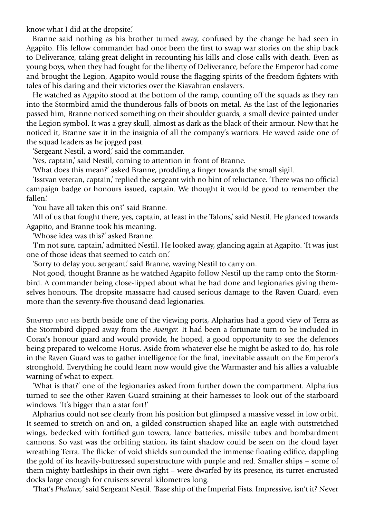know what I did at the dropsite.'

Branne said nothing as his brother turned away, confused by the change he had seen in Agapito. His fellow commander had once been the first to swap war stories on the ship back to Deliverance, taking great delight in recounting his kills and close calls with death. Even as young boys, when they had fought for the liberty of Deliverance, before the Emperor had come and brought the Legion, Agapito would rouse the flagging spirits of the freedom fighters with tales of his daring and their victories over the Kiavahran enslavers.

He watched as Agapito stood at the bottom of the ramp, counting off the squads as they ran into the Stormbird amid the thunderous falls of boots on metal. As the last of the legionaries passed him, Branne noticed something on their shoulder guards, a small device painted under the Legion symbol. It was a grey skull, almost as dark as the black of their armour. Now that he noticed it, Branne saw it in the insignia of all the company's warriors. He waved aside one of the squad leaders as he jogged past.

'Sergeant Nestil, a word,' said the commander.

'Yes, captain,' said Nestil, coming to attention in front of Branne.

'What does this mean?' asked Branne, prodding a finger towards the small sigil.

'Isstvan veteran, captain,' replied the sergeant with no hint of reluctance. 'There was no official campaign badge or honours issued, captain. We thought it would be good to remember the fallen.'

'You have all taken this on?' said Branne.

'All of us that fought there, yes, captain, at least in the Talons,' said Nestil. He glanced towards Agapito, and Branne took his meaning.

'Whose idea was this?' asked Branne.

'I'm not sure, captain,' admitted Nestil. He looked away, glancing again at Agapito. 'It was just one of those ideas that seemed to catch on.'

'Sorry to delay you, sergeant,' said Branne, waving Nestil to carry on.

Not good, thought Branne as he watched Agapito follow Nestil up the ramp onto the Stormbird. A commander being close-lipped about what he had done and legionaries giving themselves honours. The dropsite massacre had caused serious damage to the Raven Guard, even more than the seventy-five thousand dead legionaries.

Strapped into his berth beside one of the viewing ports, Alpharius had a good view of Terra as the Stormbird dipped away from the *Avenger.* It had been a fortunate turn to be included in Corax's honour guard and would provide, he hoped, a good opportunity to see the defences being prepared to welcome Horus. Aside from whatever else he might be asked to do, his role in the Raven Guard was to gather intelligence for the final, inevitable assault on the Emperor's stronghold. Everything he could learn now would give the Warmaster and his allies a valuable warning of what to expect.

'What is that?' one of the legionaries asked from further down the compartment. Alpharius turned to see the other Raven Guard straining at their harnesses to look out of the starboard windows. 'It's bigger than a star fort!'

Alpharius could not see clearly from his position but glimpsed a massive vessel in low orbit. It seemed to stretch on and on, a gilded construction shaped like an eagle with outstretched wings, bedecked with fortified gun towers, lance batteries, missile tubes and bombardment cannons. So vast was the orbiting station, its faint shadow could be seen on the cloud layer wreathing Terra. The flicker of void shields surrounded the immense floating edifice, dappling the gold of its heavily-buttressed superstructure with purple and red. Smaller ships – some of them mighty battleships in their own right – were dwarfed by its presence, its turret-encrusted docks large enough for cruisers several kilometres long.

'That's *Phalanx,*' said Sergeant Nestil. 'Base ship of the Imperial Fists. Impressive, isn't it? Never